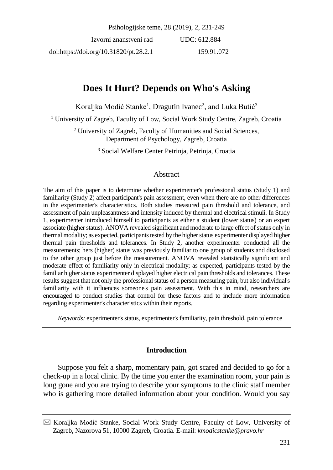Psihologijske teme, 28 (2019), 2, 231-249

Izvorni znanstveni rad doi:https://doi.org/10.31820/pt.28.2.1 UDC: 612.884 159.91.072

# **Does It Hurt? Depends on Who's Asking**

Koraljka Modić Stanke<sup>1</sup>, Dragutin Ivanec<sup>2</sup>, and Luka Butić<sup>3</sup>

<sup>1</sup> University of Zagreb, Faculty of Low, Social Work Study Centre, Zagreb, Croatia

<sup>2</sup> University of Zagreb, Faculty of Humanities and Social Sciences, Department of Psychology, Zagreb, Croatia

<sup>3</sup> Social Welfare Center Petrinja, Petrinja, Croatia

### Abstract

The aim of this paper is to determine whether experimenter's professional status (Study 1) and familiarity (Study 2) affect participant's pain assessment, even when there are no other differences in the experimenter's characteristics. Both studies measured pain threshold and tolerance, and assessment of pain unpleasantness and intensity induced by thermal and electrical stimuli. In Study 1, experimenter introduced himself to participants as either a student (lower status) or an expert associate (higher status). ANOVA revealed significant and moderate to large effect of status only in thermal modality; as expected, participants tested by the higher status experimenter displayed higher thermal pain thresholds and tolerances. In Study 2, another experimenter conducted all the measurements; hers (higher) status was previously familiar to one group of students and disclosed to the other group just before the measurement. ANOVA revealed statistically significant and moderate effect of familiarity only in electrical modality; as expected, participants tested by the familiar higher status experimenter displayed higher electrical pain thresholds and tolerances. These results suggest that not only the professional status of a person measuring pain, but also individual's familiarity with it influences someone's pain assessment. With this in mind, researchers are encouraged to conduct studies that control for these factors and to include more information regarding experimenter's characteristics within their reports.

*Keywords:* experimenter's status, experimenter's familiarity, pain threshold, pain tolerance

### **Introduction**

Suppose you felt a sharp, momentary pain, got scared and decided to go for a check-up in a local clinic. By the time you enter the examination room, your pain is long gone and you are trying to describe your symptoms to the clinic staff member who is gathering more detailed information about your condition. Would you say

 $\boxtimes$  Koraljka Modić Stanke, Social Work Study Centre, Faculty of Low, University of Zagreb, Nazorova 51, 10000 Zagreb, Croatia. E-mail: *kmodicstanke@pravo.hr*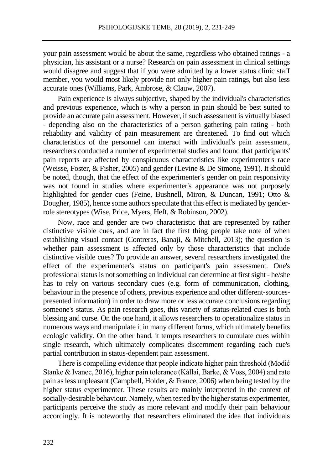your pain assessment would be about the same, regardless who obtained ratings - a physician, his assistant or a nurse? Research on pain assessment in clinical settings would disagree and suggest that if you were admitted by a lower status clinic staff member, you would most likely provide not only higher pain ratings, but also less accurate ones (Williams, Park, Ambrose, & Clauw, 2007).

Pain experience is always subjective, shaped by the individual's characteristics and previous experience, which is why a person in pain should be best suited to provide an accurate pain assessment. However, if such assessment is virtually biased - depending also on the characteristics of a person gathering pain rating - both reliability and validity of pain measurement are threatened. To find out which characteristics of the personnel can interact with individual's pain assessment, researchers conducted a number of experimental studies and found that participants' pain reports are affected by conspicuous characteristics like experimenter's race (Weisse, Foster, & Fisher, 2005) and gender (Levine & De Simone, 1991). It should be noted, though, that the effect of the experimenter's gender on pain responsivity was not found in studies where experimenter's appearance was not purposely highlighted for gender cues (Feine, Bushnell, Miron, & Duncan, 1991; Otto & Dougher, 1985), hence some authors speculate that this effect is mediated by genderrole stereotypes (Wise, Price, Myers, Heft, & Robinson, 2002).

Now, race and gender are two characteristic that are represented by rather distinctive visible cues, and are in fact the first thing people take note of when establishing visual contact (Contreras, Banaji, & Mitchell, 2013); the question is whether pain assessment is affected only by those characteristics that include distinctive visible cues? To provide an answer, several researchers investigated the effect of the experimenter's status on participant's pain assessment. One's professional status is not something an individual can determine at first sight - he/she has to rely on various secondary cues (e.g. form of communication, clothing, behaviour in the presence of others, previous experience and other different-sourcespresented information) in order to draw more or less accurate conclusions regarding someone's status. As pain research goes, this variety of status-related cues is both blessing and curse. On the one hand, it allows researchers to operationalize status in numerous ways and manipulate it in many different forms, which ultimately benefits ecologic validity. On the other hand, it tempts researchers to cumulate cues within single research, which ultimately complicates discernment regarding each cue's partial contribution in status-dependent pain assessment.

There is compelling evidence that people indicate higher pain threshold (Modić Stanke & Ivanec, 2016), higher pain tolerance (Kállai, Barke, & Voss, 2004) and rate pain as less unpleasant (Campbell, Holder, & France, 2006) when being tested by the higher status experimenter. These results are mainly interpreted in the context of socially-desirable behaviour. Namely, when tested by the higher status experimenter, participants perceive the study as more relevant and modify their pain behaviour accordingly. It is noteworthy that researchers eliminated the idea that individuals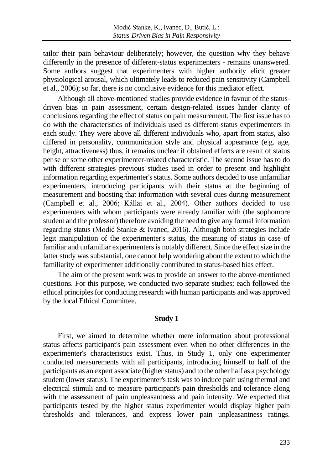tailor their pain behaviour deliberately; however, the question why they behave differently in the presence of different-status experimenters - remains unanswered. Some authors suggest that experimenters with higher authority elicit greater physiological arousal, which ultimately leads to reduced pain sensitivity (Campbell et al., 2006); so far, there is no conclusive evidence for this mediator effect.

Although all above-mentioned studies provide evidence in favour of the statusdriven bias in pain assessment, certain design-related issues hinder clarity of conclusions regarding the effect of status on pain measurement. The first issue has to do with the characteristics of individuals used as different-status experimenters in each study. They were above all different individuals who, apart from status, also differed in personality, communication style and physical appearance (e.g. age, height, attractiveness) thus, it remains unclear if obtained effects are result of status per se or some other experimenter-related characteristic. The second issue has to do with different strategies previous studies used in order to present and highlight information regarding experimenter's status. Some authors decided to use unfamiliar experimenters, introducing participants with their status at the beginning of measurement and boosting that information with several cues during measurement (Campbell et al., 2006; Kállai et al., 2004). Other authors decided to use experimenters with whom participants were already familiar with (the sophomore student and the professor) therefore avoiding the need to give any formal information regarding status (Modić Stanke & Ivanec, 2016). Although both strategies include legit manipulation of the experimenter's status, the meaning of status in case of familiar and unfamiliar experimenters is notably different. Since the effect size in the latter study was substantial, one cannot help wondering about the extent to which the familiarity of experimenter additionally contributed to status-based bias effect.

The aim of the present work was to provide an answer to the above-mentioned questions. For this purpose, we conducted two separate studies; each followed the ethical principles for conducting research with human participants and was approved by the local Ethical Committee.

#### **Study 1**

First, we aimed to determine whether mere information about professional status affects participant's pain assessment even when no other differences in the experimenter's characteristics exist. Thus, in Study 1, only one experimenter conducted measurements with all participants, introducing himself to half of the participants as an expert associate (higher status) and to the other half as a psychology student (lower status). The experimenter's task was to induce pain using thermal and electrical stimuli and to measure participant's pain thresholds and tolerance along with the assessment of pain unpleasantness and pain intensity. We expected that participants tested by the higher status experimenter would display higher pain thresholds and tolerances, and express lower pain unpleasantness ratings.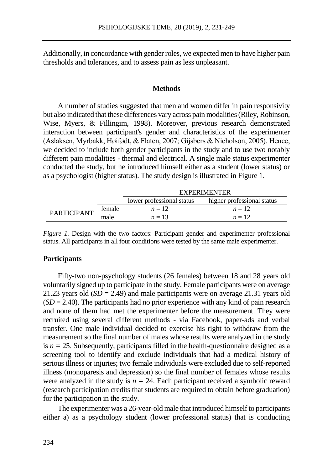Additionally, in concordance with gender roles, we expected men to have higher pain thresholds and tolerances, and to assess pain as less unpleasant.

#### **Methods**

A number of studies suggested that men and women differ in pain responsivity but also indicated that these differences vary across pain modalities (Riley, Robinson, Wise, Myers, & Fillingim, 1998). Moreover, previous research demonstrated interaction between participant's gender and characteristics of the experimenter (Aslaksen, Myrbakk, Høifødt, & Flaten, 2007; Gijsbers & Nicholson, 2005). Hence, we decided to include both gender participants in the study and to use two notably different pain modalities - thermal and electrical. A single male status experimenter conducted the study, but he introduced himself either as a student (lower status) or as a psychologist (higher status). The study design is illustrated in Figure 1.

|                    |        | <b>EXPERIMENTER</b>       |                            |  |  |  |
|--------------------|--------|---------------------------|----------------------------|--|--|--|
|                    |        | lower professional status | higher professional status |  |  |  |
| <b>PARTICIPANT</b> | female | $n=12$                    | $n=12$                     |  |  |  |
|                    | male   | $n=13$                    | $n=12$                     |  |  |  |

*Figure 1.* Design with the two factors: Participant gender and experimenter professional status. All participants in all four conditions were tested by the same male experimenter.

#### **Participants**

Fifty-two non-psychology students (26 females) between 18 and 28 years old voluntarily signed up to participate in the study. Female participants were on average 21.23 years old  $(SD = 2.49)$  and male participants were on average 21.31 years old  $(SD = 2.40)$ . The participants had no prior experience with any kind of pain research and none of them had met the experimenter before the measurement. They were recruited using several different methods - via Facebook, paper-ads and verbal transfer. One male individual decided to exercise his right to withdraw from the measurement so the final number of males whose results were analyzed in the study is  $n = 25$ . Subsequently, participants filled in the health-questionnaire designed as a screening tool to identify and exclude individuals that had a medical history of serious illness or injuries; two female individuals were excluded due to self-reported illness (monoparesis and depression) so the final number of females whose results were analyzed in the study is  $n = 24$ . Each participant received a symbolic reward (research participation credits that students are required to obtain before graduation) for the participation in the study.

The experimenter was a 26-year-old male that introduced himself to participants either a) as a psychology student (lower professional status) that is conducting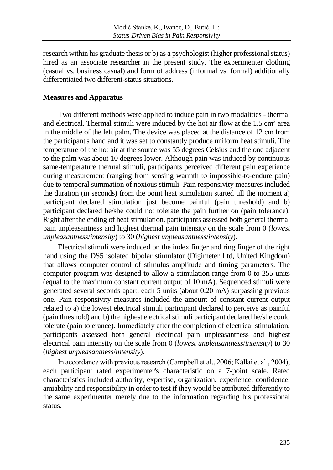research within his graduate thesis or b) as a psychologist (higher professional status) hired as an associate researcher in the present study. The experimenter clothing (casual vs. business casual) and form of address (informal vs. formal) additionally differentiated two different-status situations.

# **Measures and Apparatus**

Two different methods were applied to induce pain in two modalities - thermal and electrical. Thermal stimuli were induced by the hot air flow at the  $1.5 \text{ cm}^2$  area in the middle of the left palm. The device was placed at the distance of 12 cm from the participant's hand and it was set to constantly produce uniform heat stimuli. The temperature of the hot air at the source was 55 degrees Celsius and the one adjacent to the palm was about 10 degrees lower. Although pain was induced by continuous same-temperature thermal stimuli, participants perceived different pain experience during measurement (ranging from sensing warmth to impossible-to-endure pain) due to temporal summation of noxious stimuli. Pain responsivity measures included the duration (in seconds) from the point heat stimulation started till the moment a) participant declared stimulation just become painful (pain threshold) and b) participant declared he/she could not tolerate the pain further on (pain tolerance). Right after the ending of heat stimulation, participants assessed both general thermal pain unpleasantness and highest thermal pain intensity on the scale from 0 (*lowest unpleasantness*/*intensity*) to 30 (*highest unpleasantness*/*intensity*).

Electrical stimuli were induced on the index finger and ring finger of the right hand using the DS5 isolated bipolar stimulator (Digimeter Ltd, United Kingdom) that allows computer control of stimulus amplitude and timing parameters. The computer program was designed to allow a stimulation range from 0 to 255 units (equal to the maximum constant current output of 10 mA). Sequenced stimuli were generated several seconds apart, each 5 units (about 0.20 mA) surpassing previous one. Pain responsivity measures included the amount of constant current output related to a) the lowest electrical stimuli participant declared to perceive as painful (pain threshold) and b) the highest electrical stimuli participant declared he/she could tolerate (pain tolerance). Immediately after the completion of electrical stimulation, participants assessed both general electrical pain unpleasantness and highest electrical pain intensity on the scale from 0 (*lowest unpleasantness*/*intensity*) to 30 (*highest unpleasantness*/*intensity*).

In accordance with previous research (Campbell et al., 2006; Kállai et al., 2004), each participant rated experimenter's characteristic on a 7-point scale. Rated characteristics included authority, expertise, organization, experience, confidence, amiability and responsibility in order to test if they would be attributed differently to the same experimenter merely due to the information regarding his professional status.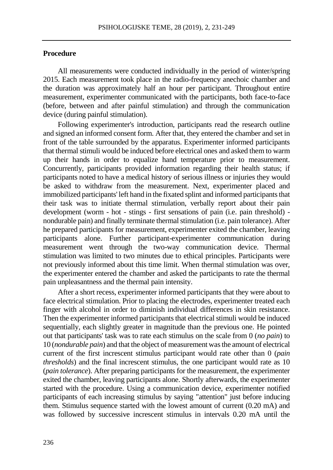### **Procedure**

All measurements were conducted individually in the period of winter/spring 2015. Each measurement took place in the radio-frequency anechoic chamber and the duration was approximately half an hour per participant. Throughout entire measurement, experimenter communicated with the participants, both face-to-face (before, between and after painful stimulation) and through the communication device (during painful stimulation).

Following experimenter's introduction, participants read the research outline and signed an informed consent form. After that, they entered the chamber and set in front of the table surrounded by the apparatus. Experimenter informed participants that thermal stimuli would be induced before electrical ones and asked them to warm up their hands in order to equalize hand temperature prior to measurement. Concurrently, participants provided information regarding their health status; if participants noted to have a medical history of serious illness or injuries they would be asked to withdraw from the measurement. Next, experimenter placed and immobilized participants' left hand in the fixated splint and informed participants that their task was to initiate thermal stimulation, verbally report about their pain development (worm - hot - stings - first sensations of pain (i.e. pain threshold) nondurable pain) and finally terminate thermal stimulation (i.e. pain tolerance). After he prepared participants for measurement, experimenter exited the chamber, leaving participants alone. Further participant-experimenter communication during measurement went through the two-way communication device. Thermal stimulation was limited to two minutes due to ethical principles. Participants were not previously informed about this time limit. When thermal stimulation was over, the experimenter entered the chamber and asked the participants to rate the thermal pain unpleasantness and the thermal pain intensity.

After a short recess, experimenter informed participants that they were about to face electrical stimulation. Prior to placing the electrodes, experimenter treated each finger with alcohol in order to diminish individual differences in skin resistance. Then the experimenter informed participants that electrical stimuli would be induced sequentially, each slightly greater in magnitude than the previous one. He pointed out that participants' task was to rate each stimulus on the scale from 0 (*no pain*) to 10 (*nondurable pain*) and that the object of measurement was the amount of electrical current of the first increscent stimulus participant would rate other than 0 (*pain thresholds*) and the final increscent stimulus, the one participant would rate as 10 (*pain tolerance*). After preparing participants for the measurement, the experimenter exited the chamber, leaving participants alone. Shortly afterwards, the experimenter started with the procedure. Using a communication device, experimenter notified participants of each increasing stimulus by saying "attention" just before inducing them. Stimulus sequence started with the lowest amount of current (0.20 mA) and was followed by successive increscent stimulus in intervals 0.20 mA until the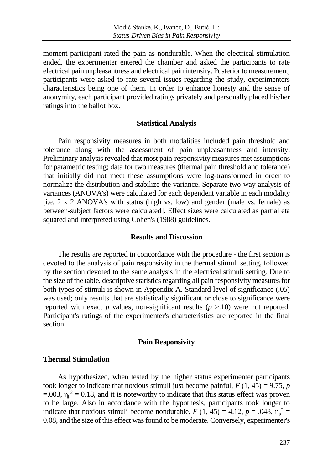moment participant rated the pain as nondurable. When the electrical stimulation ended, the experimenter entered the chamber and asked the participants to rate electrical pain unpleasantness and electrical pain intensity. Posterior to measurement, participants were asked to rate several issues regarding the study, experimenters characteristics being one of them. In order to enhance honesty and the sense of anonymity, each participant provided ratings privately and personally placed his/her ratings into the ballot box.

#### **Statistical Analysis**

Pain responsivity measures in both modalities included pain threshold and tolerance along with the assessment of pain unpleasantness and intensity. Preliminary analysis revealed that most pain-responsivity measures met assumptions for parametric testing; data for two measures (thermal pain threshold and tolerance) that initially did not meet these assumptions were log-transformed in order to normalize the distribution and stabilize the variance. Separate two-way analysis of variances (ANOVA's) were calculated for each dependent variable in each modality [i.e. 2 x 2 ANOVA's with status (high vs. low) and gender (male vs. female) as between-subject factors were calculated]. Effect sizes were calculated as partial eta squared and interpreted using Cohen's (1988) guidelines.

### **Results and Discussion**

The results are reported in concordance with the procedure - the first section is devoted to the analysis of pain responsivity in the thermal stimuli setting, followed by the section devoted to the same analysis in the electrical stimuli setting. Due to the size of the table, descriptive statistics regarding all pain responsivity measures for both types of stimuli is shown in Appendix A. Standard level of significance (.05) was used; only results that are statistically significant or close to significance were reported with exact  $p$  values, non-significant results  $(p > 10)$  were not reported. Participant's ratings of the experimenter's characteristics are reported in the final section.

### **Pain Responsivity**

#### **Thermal Stimulation**

As hypothesized, when tested by the higher status experimenter participants took longer to indicate that noxious stimuli just become painful,  $F(1, 45) = 9.75$ , *p*  $=$  0.03,  $\eta_p^2$  = 0.18, and it is noteworthy to indicate that this status effect was proven to be large. Also in accordance with the hypothesis, participants took longer to indicate that noxious stimuli become nondurable,  $F(1, 45) = 4.12$ ,  $p = .048$ ,  $\eta_p^2 =$ 0.08, and the size of this effect was found to be moderate. Conversely, experimenter's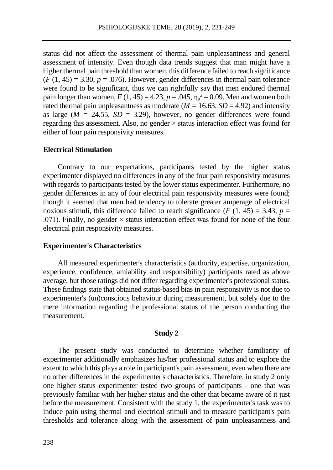status did not affect the assessment of thermal pain unpleasantness and general assessment of intensity. Even though data trends suggest that man might have a higher thermal pain threshold than women, this difference failed to reach significance  $(F(1, 45) = 3.30, p = .076)$ . However, gender differences in thermal pain tolerance were found to be significant, thus we can rightfully say that men endured thermal pain longer than women,  $F(1, 45) = 4.23$ ,  $p = .045$ ,  $\eta_p^2 = 0.09$ . Men and women both rated thermal pain unpleasantness as moderate ( $M = 16.63$ ,  $SD = 4.92$ ) and intensity as large  $(M = 24.55, SD = 3.29)$ , however, no gender differences were found regarding this assessment. Also, no gender × status interaction effect was found for either of four pain responsivity measures.

# **Electrical Stimulation**

Contrary to our expectations, participants tested by the higher status experimenter displayed no differences in any of the four pain responsivity measures with regards to participants tested by the lower status experimenter. Furthermore, no gender differences in any of four electrical pain responsivity measures were found; though it seemed that men had tendency to tolerate greater amperage of electrical noxious stimuli, this difference failed to reach significance ( $F(1, 45) = 3.43$ ,  $p =$ .071). Finally, no gender  $\times$  status interaction effect was found for none of the four electrical pain responsivity measures.

#### **Experimenter's Characteristics**

All measured experimenter's characteristics (authority, expertise, organization, experience, confidence, amiability and responsibility) participants rated as above average, but those ratings did not differ regarding experimenter's professional status. These findings state that obtained status-based bias in pain responsivity is not due to experimenter's (un)conscious behaviour during measurement, but solely due to the mere information regarding the professional status of the person conducting the measurement.

### **Study 2**

The present study was conducted to determine whether familiarity of experimenter additionally emphasizes his/her professional status and to explore the extent to which this plays a role in participant's pain assessment, even when there are no other differences in the experimenter's characteristics. Therefore, in study 2 only one higher status experimenter tested two groups of participants - one that was previously familiar with her higher status and the other that became aware of it just before the measurement. Consistent with the study 1, the experimenter's task was to induce pain using thermal and electrical stimuli and to measure participant's pain thresholds and tolerance along with the assessment of pain unpleasantness and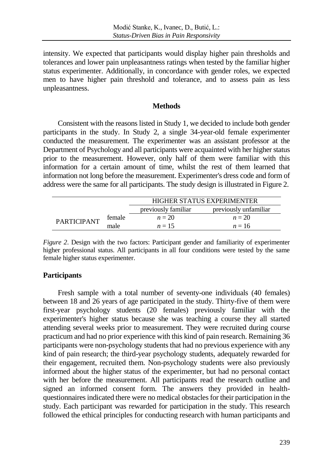intensity. We expected that participants would display higher pain thresholds and tolerances and lower pain unpleasantness ratings when tested by the familiar higher status experimenter. Additionally, in concordance with gender roles, we expected men to have higher pain threshold and tolerance, and to assess pain as less unpleasantness.

### **Methods**

Consistent with the reasons listed in Study 1, we decided to include both gender participants in the study. In Study 2, a single 34-year-old female experimenter conducted the measurement. The experimenter was an assistant professor at the Department of Psychology and all participants were acquainted with her higher status prior to the measurement. However, only half of them were familiar with this information for a certain amount of time, whilst the rest of them learned that information not long before the measurement. Experimenter's dress code and form of address were the same for all participants. The study design is illustrated in Figure 2.

|                    |        | <b>HIGHER STATUS EXPERIMENTER</b>            |        |  |  |  |
|--------------------|--------|----------------------------------------------|--------|--|--|--|
|                    |        | previously familiar<br>previously unfamiliar |        |  |  |  |
| <b>PARTICIPANT</b> | female | $n = 20$                                     | $n=20$ |  |  |  |
|                    | male   | $n=15$                                       | $n=16$ |  |  |  |

*Figure 2*. Design with the two factors: Participant gender and familiarity of experimenter higher professional status. All participants in all four conditions were tested by the same female higher status experimenter.

### **Participants**

Fresh sample with a total number of seventy-one individuals (40 females) between 18 and 26 years of age participated in the study. Thirty-five of them were first-year psychology students (20 females) previously familiar with the experimenter's higher status because she was teaching a course they all started attending several weeks prior to measurement. They were recruited during course practicum and had no prior experience with this kind of pain research. Remaining 36 participants were non-psychology students that had no previous experience with any kind of pain research; the third-year psychology students, adequately rewarded for their engagement, recruited them. Non-psychology students were also previously informed about the higher status of the experimenter, but had no personal contact with her before the measurement. All participants read the research outline and signed an informed consent form. The answers they provided in healthquestionnaires indicated there were no medical obstacles for their participation in the study. Each participant was rewarded for participation in the study. This research followed the ethical principles for conducting research with human participants and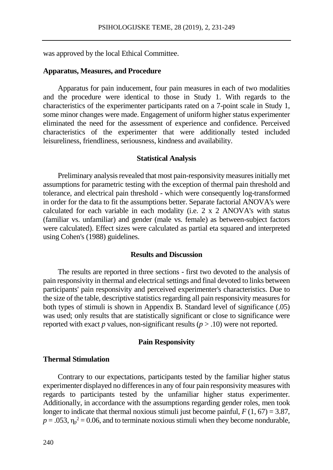was approved by the local Ethical Committee.

#### **Apparatus, Measures, and Procedure**

Apparatus for pain inducement, four pain measures in each of two modalities and the procedure were identical to those in Study 1. With regards to the characteristics of the experimenter participants rated on a 7-point scale in Study 1, some minor changes were made. Engagement of uniform higher status experimenter eliminated the need for the assessment of experience and confidence. Perceived characteristics of the experimenter that were additionally tested included leisureliness, friendliness, seriousness, kindness and availability.

#### **Statistical Analysis**

Preliminary analysis revealed that most pain-responsivity measures initially met assumptions for parametric testing with the exception of thermal pain threshold and tolerance, and electrical pain threshold - which were consequently log-transformed in order for the data to fit the assumptions better. Separate factorial ANOVA's were calculated for each variable in each modality (i.e. 2 x 2 ANOVA's with status (familiar vs. unfamiliar) and gender (male vs. female) as between-subject factors were calculated). Effect sizes were calculated as partial eta squared and interpreted using Cohen's (1988) guidelines.

### **Results and Discussion**

The results are reported in three sections - first two devoted to the analysis of pain responsivity in thermal and electrical settings and final devoted to links between participants' pain responsivity and perceived experimenter's characteristics. Due to the size of the table, descriptive statistics regarding all pain responsivity measures for both types of stimuli is shown in Appendix B. Standard level of significance (.05) was used; only results that are statistically significant or close to significance were reported with exact  $p$  values, non-significant results ( $p > .10$ ) were not reported.

#### **Pain Responsivity**

#### **Thermal Stimulation**

Contrary to our expectations, participants tested by the familiar higher status experimenter displayed no differences in any of four pain responsivity measures with regards to participants tested by the unfamiliar higher status experimenter. Additionally, in accordance with the assumptions regarding gender roles, men took longer to indicate that thermal noxious stimuli just become painful,  $F(1, 67) = 3.87$ ,  $p = .053$ ,  $\eta_p^2 = 0.06$ , and to terminate noxious stimuli when they become nondurable,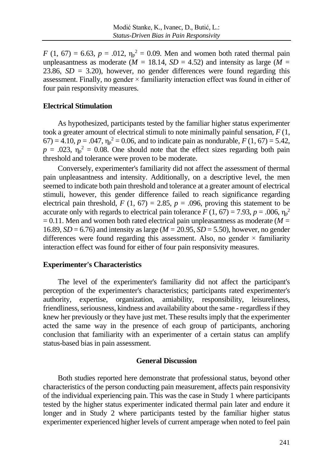*F* (1, 67) = 6.63, *p* = .012,  $\eta_p^2 = 0.09$ . Men and women both rated thermal pain unpleasantness as moderate ( $\dot{M}$  = 18.14, *SD* = 4.52) and intensity as large ( $\dot{M}$  = 23.86,  $SD = 3.20$ ), however, no gender differences were found regarding this assessment. Finally, no gender  $\times$  familiarity interaction effect was found in either of four pain responsivity measures.

### **Electrical Stimulation**

As hypothesized, participants tested by the familiar higher status experimenter took a greater amount of electrical stimuli to note minimally painful sensation, *F* (1,  $(67) = 4.10$ ,  $p = .047$ ,  $\eta_p^2 = 0.06$ , and to indicate pain as nondurable,  $F(1, 67) = 5.42$ ,  $p = .023$ ,  $\eta_p^2 = 0.08$ . One should note that the effect sizes regarding both pain threshold and tolerance were proven to be moderate.

Conversely, experimenter's familiarity did not affect the assessment of thermal pain unpleasantness and intensity. Additionally, on a descriptive level, the men seemed to indicate both pain threshold and tolerance at a greater amount of electrical stimuli, however, this gender difference failed to reach significance regarding electrical pain threshold,  $F(1, 67) = 2.85$ ,  $p = .096$ , proving this statement to be accurate only with regards to electrical pain tolerance  $F(1, 67) = 7.93$ ,  $p = .006$ ,  $\eta_p^2$  $= 0.11$ . Men and women both rated electrical pain unpleasantness as moderate ( $M =$ 16.89, *SD* = 6.76) and intensity as large (*M =* 20.95, *SD* = 5.50), however, no gender differences were found regarding this assessment. Also, no gender  $\times$  familiarity interaction effect was found for either of four pain responsivity measures.

# **Experimenter's Characteristics**

The level of the experimenter's familiarity did not affect the participant's perception of the experimenter's characteristics; participants rated experimenter's authority, expertise, organization, amiability, responsibility, leisureliness, friendliness, seriousness, kindness and availability about the same - regardless if they knew her previously or they have just met. These results imply that the experimenter acted the same way in the presence of each group of participants, anchoring conclusion that familiarity with an experimenter of a certain status can amplify status-based bias in pain assessment.

#### **General Discussion**

Both studies reported here demonstrate that professional status, beyond other characteristics of the person conducting pain measurement, affects pain responsivity of the individual experiencing pain. This was the case in Study 1 where participants tested by the higher status experimenter indicated thermal pain later and endure it longer and in Study 2 where participants tested by the familiar higher status experimenter experienced higher levels of current amperage when noted to feel pain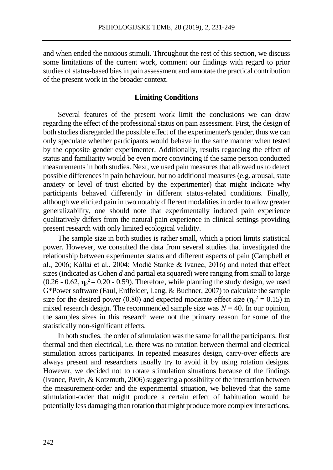and when ended the noxious stimuli. Throughout the rest of this section, we discuss some limitations of the current work, comment our findings with regard to prior studies of status-based bias in pain assessment and annotate the practical contribution of the present work in the broader context.

#### **Limiting Conditions**

Several features of the present work limit the conclusions we can draw regarding the effect of the professional status on pain assessment. First, the design of both studies disregarded the possible effect of the experimenter's gender, thus we can only speculate whether participants would behave in the same manner when tested by the opposite gender experimenter. Additionally, results regarding the effect of status and familiarity would be even more convincing if the same person conducted measurements in both studies. Next, we used pain measures that allowed us to detect possible differences in pain behaviour, but no additional measures (e.g. arousal, state anxiety or level of trust elicited by the experimenter) that might indicate why participants behaved differently in different status-related conditions. Finally, although we elicited pain in two notably different modalities in order to allow greater generalizability, one should note that experimentally induced pain experience qualitatively differs from the natural pain experience in clinical settings providing present research with only limited ecological validity.

The sample size in both studies is rather small, which a priori limits statistical power. However, we consulted the data from several studies that investigated the relationship between experimenter status and different aspects of pain (Campbell et al., 2006; Kállai et al., 2004; Modić Stanke & Ivanec, 2016) and noted that effect sizes (indicated as Cohen *d* and partial eta squared) were ranging from small to large (0.26 - 0.62,  $\eta_p^2 = 0.20$  - 0.59). Therefore, while planning the study design, we used G\*Power software (Faul, Erdfelder, Lang, & Buchner, 2007) to calculate the sample size for the desired power (0.80) and expected moderate effect size ( $\eta_p^2 = 0.15$ ) in mixed research design. The recommended sample size was  $N = 40$ . In our opinion, the samples sizes in this research were not the primary reason for some of the statistically non-significant effects.

In both studies, the order of stimulation was the same for all the participants: first thermal and then electrical, i.e. there was no rotation between thermal and electrical stimulation across participants. In repeated measures design, carry-over effects are always present and researchers usually try to avoid it by using rotation designs. However, we decided not to rotate stimulation situations because of the findings (Ivanec, Pavin, & Kotzmuth, 2006) suggesting a possibility of the interaction between the measurement-order and the experimental situation, we believed that the same stimulation-order that might produce a certain effect of habituation would be potentially less damaging than rotation that might produce more complex interactions.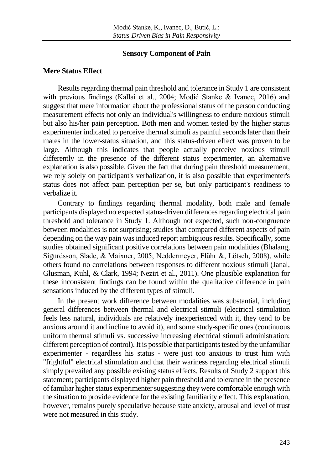#### **Sensory Component of Pain**

#### **Mere Status Effect**

Results regarding thermal pain threshold and tolerance in Study 1 are consistent with previous findings (Kallai et al., 2004; Modić Stanke & Ivanec, 2016) and suggest that mere information about the professional status of the person conducting measurement effects not only an individual's willingness to endure noxious stimuli but also his/her pain perception. Both men and women tested by the higher status experimenter indicated to perceive thermal stimuli as painful seconds later than their mates in the lower-status situation, and this status-driven effect was proven to be large. Although this indicates that people actually perceive noxious stimuli differently in the presence of the different status experimenter, an alternative explanation is also possible. Given the fact that during pain threshold measurement, we rely solely on participant's verbalization, it is also possible that experimenter's status does not affect pain perception per se, but only participant's readiness to verbalize it.

Contrary to findings regarding thermal modality, both male and female participants displayed no expected status-driven differences regarding electrical pain threshold and tolerance in Study 1. Although not expected, such non-congruence between modalities is not surprising; studies that compared different aspects of pain depending on the way pain was induced report ambiguous results. Specifically, some studies obtained significant positive correlations between pain modalities (Bhalang, Sigurdsson, Slade, & Maixner, 2005; Neddermeyer, Flühr &, Lötsch, 2008), while others found no correlations between responses to different noxious stimuli (Janal, Glusman, Kuhl, & Clark, 1994; Neziri et al., 2011). One plausible explanation for these inconsistent findings can be found within the qualitative difference in pain sensations induced by the different types of stimuli.

In the present work difference between modalities was substantial, including general differences between thermal and electrical stimuli (electrical stimulation feels less natural, individuals are relatively inexperienced with it, they tend to be anxious around it and incline to avoid it), and some study-specific ones (continuous uniform thermal stimuli vs. successive increasing electrical stimuli administration; different perception of control). It is possible that participants tested by the unfamiliar experimenter - regardless his status - were just too anxious to trust him with "frightful" electrical stimulation and that their wariness regarding electrical stimuli simply prevailed any possible existing status effects. Results of Study 2 support this statement; participants displayed higher pain threshold and tolerance in the presence of familiar higher status experimenter suggesting they were comfortable enough with the situation to provide evidence for the existing familiarity effect. This explanation, however, remains purely speculative because state anxiety, arousal and level of trust were not measured in this study.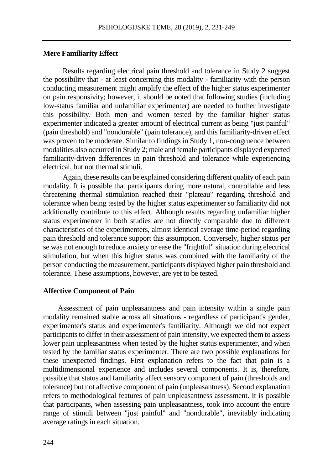### **Mere Familiarity Effect**

Results regarding electrical pain threshold and tolerance in Study 2 suggest the possibility that - at least concerning this modality - familiarity with the person conducting measurement might amplify the effect of the higher status experimenter on pain responsivity; however, it should be noted that following studies (including low-status familiar and unfamiliar experimenter) are needed to further investigate this possibility. Both men and women tested by the familiar higher status experimenter indicated a greater amount of electrical current as being "just painful" (pain threshold) and "nondurable" (pain tolerance), and this familiarity-driven effect was proven to be moderate. Similar to findings in Study 1, non-congruence between modalities also occurred in Study 2; male and female participants displayed expected familiarity-driven differences in pain threshold and tolerance while experiencing electrical, but not thermal stimuli.

Again, these results can be explained considering different quality of each pain modality. It is possible that participants during more natural, controllable and less threatening thermal stimulation reached their "plateau" regarding threshold and tolerance when being tested by the higher status experimenter so familiarity did not additionally contribute to this effect. Although results regarding unfamiliar higher status experimenter in both studies are not directly comparable due to different characteristics of the experimenters, almost identical average time-period regarding pain threshold and tolerance support this assumption. Conversely, higher status per se was not enough to reduce anxiety or ease the "frightful" situation during electrical stimulation, but when this higher status was combined with the familiarity of the person conducting the measurement, participants displayed higher pain threshold and tolerance. These assumptions, however, are yet to be tested.

### **Affective Component of Pain**

Assessment of pain unpleasantness and pain intensity within a single pain modality remained stable across all situations - regardless of participant's gender, experimenter's status and experimenter's familiarity. Although we did not expect participants to differ in their assessment of pain intensity, we expected them to assess lower pain unpleasantness when tested by the higher status experimenter, and when tested by the familiar status experimenter. There are two possible explanations for these unexpected findings. First explanation refers to the fact that pain is a multidimensional experience and includes several components. It is, therefore, possible that status and familiarity affect sensory component of pain (thresholds and tolerance) but not affective component of pain (unpleasantness). Second explanation refers to methodological features of pain unpleasantness assessment. It is possible that participants, when assessing pain unpleasantness, took into account the entire range of stimuli between "just painful" and "nondurable", inevitably indicating average ratings in each situation.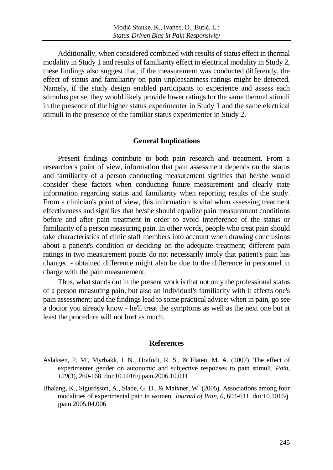Additionally, when considered combined with results of status effect in thermal modality in Study 1 and results of familiarity effect in electrical modality in Study 2, these findings also suggest that, if the measurement was conducted differently, the effect of status and familiarity on pain unpleasantness ratings might be detected. Namely, if the study design enabled participants to experience and assess each stimulus per se, they would likely provide lower ratings for the same thermal stimuli in the presence of the higher status experimenter in Study 1 and the same electrical stimuli in the presence of the familiar status experimenter in Study 2.

### **General Implications**

Present findings contribute to both pain research and treatment. From a researcher's point of view, information that pain assessment depends on the status and familiarity of a person conducting measurement signifies that he/she would consider these factors when conducting future measurement and clearly state information regarding status and familiarity when reporting results of the study. From a clinician's point of view, this information is vital when assessing treatment effectiveness and signifies that he/she should equalize pain measurement conditions before and after pain treatment in order to avoid interference of the status or familiarity of a person measuring pain. In other words, people who treat pain should take characteristics of clinic staff members into account when drawing conclusions about a patient's condition or deciding on the adequate treatment; different pain ratings in two measurement points do not necessarily imply that patient's pain has changed - obtained difference might also be due to the difference in personnel in charge with the pain measurement.

Thus, what stands out in the present work is that not only the professional status of a person measuring pain, but also an individual's familiarity with it affects one's pain assessment; and the findings lead to some practical advice: when in pain, go see a doctor you already know - he'll treat the symptoms as well as the next one but at least the procedure will not hurt as much.

#### **References**

- Aslaksen, P. M., Myrbakk, I. N., Hoifodt, R. S., & Flaten, M. A. (2007). The effect of experimenter gender on autonomic and subjective responses to pain stimuli. *Pain, 129*(3), 260-168. doi:10.1016/j.pain.2006.10.011
- Bhalang, K., Sigurdsson, A., Slade, G. D., & Maixner, W. (2005). Associations among four modalities of experimental pain in women. *Journal of Pain, 6*, 604-611. doi:10.1016/j. jpain.2005.04.006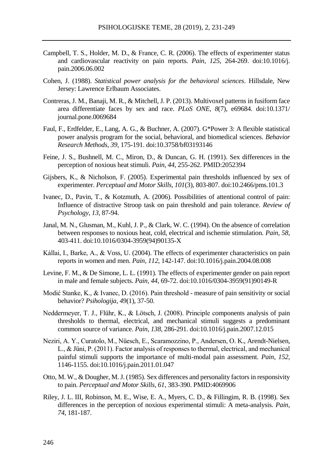- Campbell, T. S., Holder, M. D., & France, C. R. (2006). The effects of experimenter status and cardiovascular reactivity on pain reports. *Pain, 125*, 264-269. doi:10.1016/j. pain.2006.06.002
- Cohen, J. (1988). *Statistical power analysis for the behavioral sciences*. Hillsdale, New Jersey: Lawrence Erlbaum Associates.
- Contreras, J. M., Banaji, M. R., & Mitchell, J. P. (2013). Multivoxel patterns in fusiform face area differentiate faces by sex and race. *PLoS ONE, 8*(7), e69684. doi:10.1371/ journal.pone.0069684
- Faul, F., Erdfelder, E., Lang, A. G., & Buchner, A. (2007). G\*Power 3: A flexible statistical power analysis program for the social, behavioral, and biomedical sciences. *Behavior Research Methods, 39*, 175-191. doi:10.3758/bf03193146
- Feine, J. S., Bushnell, M. C., Miron, D., & Duncan, G. H. (1991). Sex differences in the perception of noxious heat stimuli. *Pain, 44*, 255-262. PMID:2052394
- Gijsbers, K., & Nicholson, F. (2005). Experimental pain thresholds influenced by sex of experimenter. *Perceptual and Motor Skills, 101*(3), 803-807. doi:10.2466/pms.101.3
- Ivanec, D., Pavin, T., & Kotzmuth, A. (2006). Possibilities of attentional control of pain: Influence of distractive Stroop task on pain threshold and pain tolerance. *Review of Psychology*, *13,* 87-94.
- Janal, M. N., Glusman, M., Kuhl, J. P., & Clark, W. C. (1994). On the absence of correlation between responses to noxious heat, cold, electrical and ischemie stimulation. *Pain, 58*, 403-411. doi:10.1016/0304-3959(94)90135-X
- Kállai, I., Barke, A., & Voss, U. (2004). The effects of experimenter characteristics on pain reports in women and men. *Pain, 112*, 142-147. doi:10.1016/j.pain.2004.08.008
- Levine, F. M., & De Simone, L. L. (1991). The effects of experimenter gender on pain report in male and female subjects. *Pain, 44*, 69-72. doi:10.1016/0304-3959(91)90149-R
- Modić Stanke, K., & Ivanec, D. (2016). Pain threshold measure of pain sensitivity or social behavior? *Psihologija*, *49*(1), 37-50.
- Neddermeyer, T. J., Flühr, K., & Lötsch, J. (2008). Principle components analysis of pain thresholds to thermal, electrical, and mechanical stimuli suggests a predominant common source of variance. *Pain, 138*, 286-291. doi:10.1016/j.pain.2007.12.015
- Neziri, A. Y., Curatolo, M., Nüesch, E., Scaramozzino, P., Andersen, O. K., Arendt-Nielsen, L., & Jüni, P. (2011). Factor analysis of responses to thermal, electrical, and mechanical painful stimuli supports the importance of multi-modal pain assessment. *Pain, 152*, 1146-1155. doi:10.1016/j.pain.2011.01.047
- Otto, M. W., & Dougher, M. J. (1985). Sex differences and personality factors in responsivity to pain. *Perceptual and Motor Skills, 61*, 383-390. PMID:4069906
- Riley, J. L. III, Robinson, M. E., Wise, E. A., Myers, C. D., & Fillingim, R. B. (1998). Sex differences in the perception of noxious experimental stimuli: A meta-analysis. *Pain*, *74*, 181-187.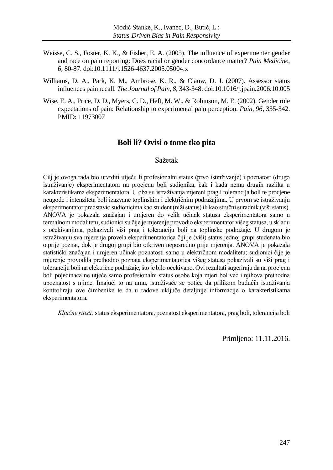- Weisse, C. S., Foster, K. K., & Fisher, E. A. (2005). The influence of experimenter gender and race on pain reporting: Does racial or gender concordance matter? *Pain Medicine, 6,* 80-87. doi:10.1111/j.1526-4637.2005.05004.x
- Williams, D. A., Park, K. M., Ambrose, K. R., & Clauw, D. J. (2007). Assessor status influences pain recall. *The Journal of Pain, 8*, 343-348. [doi:10.1016/j.jpain.2006.10.005](http://dx.doi.org/10.1016/j.jpain.2006.10.005)
- Wise, E. A., Price, D. D., Myers, C. D., Heft, M. W., & Robinson, M. E. (2002). Gender role expectations of pain: Relationship to experimental pain perception. *Pain*, *96*, 335-342. PMID: 11973007

# **Boli li? Ovisi o tome tko pita**

#### Sažetak

Cilj je ovoga rada bio utvrditi utječu li profesionalni status (prvo istraživanje) i poznatost (drugo istraživanje) eksperimentatora na procjenu boli sudionika, čak i kada nema drugih razlika u karakteristikama eksperimentatora. U oba su istraživanja mjereni prag i tolerancija boli te procjene neugode i intenziteta boli izazvane toplinskim i električnim podražajima. U prvom se istraživanju eksperimentator predstavio sudionicima kao student (niži status) ili kao stručni suradnik (viši status). ANOVA je pokazala značajan i umjeren do velik učinak statusa eksperimentatora samo u termalnom modalitetu; sudionici su čije je mjerenje provodio eksperimentator višeg statusa, u skladu s očekivanjima, pokazivali viši prag i toleranciju boli na toplinske podražaje. U drugom je istraživanju sva mjerenja provela eksperimentatorica čiji je (viši) status jednoj grupi studenata bio otprije poznat, dok je drugoj grupi bio otkriven neposredno prije mjerenja. ANOVA je pokazala statistički značajan i umjeren učinak poznatosti samo u električnom modalitetu; sudionici čije je mjerenje provodila prethodno poznata eksperimentatorica višeg statusa pokazivali su viši prag i toleranciju boli na električne podražaje, što je bilo očekivano. Ovi rezultati sugeriraju da na procjenu boli pojedinaca ne utječe samo profesionalni status osobe koja mjeri bol već i njihova prethodna upoznatost s njime. Imajući to na umu, istraživače se potiče da prilikom budućih istraživanja kontroliraju ove čimbenike te da u radove uključe detaljnije informacije o karakteristikama eksperimentatora.

*Ključne riječi:*status eksperimentatora, poznatost eksperimentatora, prag boli, tolerancija boli

Primljeno: 11.11.2016.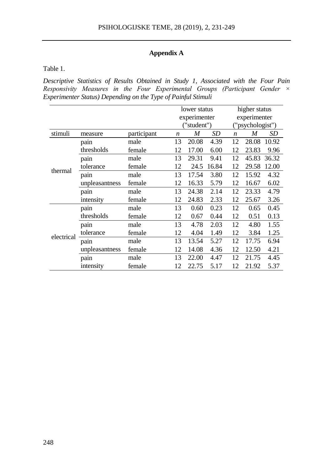# **Appendix A**

Table 1.

*Descriptive Statistics of Results Obtained in Study 1, Associated with the Four Pain Responsivity Measures in the Four Experimental Groups (Participant Gender × Experimenter Status) Depending on the Type of Painful Stimuli*

|            |                |             | lower status     |       | higher status |                  |       |       |
|------------|----------------|-------------|------------------|-------|---------------|------------------|-------|-------|
|            |                |             | experimenter     |       |               | experimenter     |       |       |
|            |                |             | ("student")      |       |               | ("psychologist") |       |       |
| stimuli    | measure        | participant | $\boldsymbol{n}$ | M     | SD            | $\boldsymbol{n}$ | M     | SD    |
| thermal    | pain           | male        | 13               | 20.08 | 4.39          | 12               | 28.08 | 10.92 |
|            | thresholds     | female      | 12               | 17.00 | 6.00          | 12               | 23.83 | 9.96  |
|            | pain           | male        | 13               | 29.31 | 9.41          | 12               | 45.83 | 36.32 |
|            | tolerance      | female      | 12               | 24.5  | 16.84         | 12               | 29.58 | 12.00 |
|            | pain           | male        | 13               | 17.54 | 3.80          | 12               | 15.92 | 4.32  |
|            | unpleasantness | female      | 12               | 16.33 | 5.79          | 12               | 16.67 | 6.02  |
|            | pain           | male        | 13               | 24.38 | 2.14          | 12               | 23.33 | 4.79  |
|            | intensity      | female      | 12               | 24.83 | 2.33          | 12               | 25.67 | 3.26  |
| electrical | pain           | male        | 13               | 0.60  | 0.23          | 12               | 0.65  | 0.45  |
|            | thresholds     | female      | 12               | 0.67  | 0.44          | 12               | 0.51  | 0.13  |
|            | pain           | male        | 13               | 4.78  | 2.03          | 12               | 4.80  | 1.55  |
|            | tolerance      | female      | 12               | 4.04  | 1.49          | 12               | 3.84  | 1.25  |
|            | pain           | male        | 13               | 13.54 | 5.27          | 12               | 17.75 | 6.94  |
|            | unpleasantness | female      | 12               | 14.08 | 4.36          | 12               | 12.50 | 4.21  |
|            | pain           | male        | 13               | 22.00 | 4.47          | 12               | 21.75 | 4.45  |
|            | intensity      | female      | 12               | 22.75 | 5.17          | 12               | 21.92 | 5.37  |